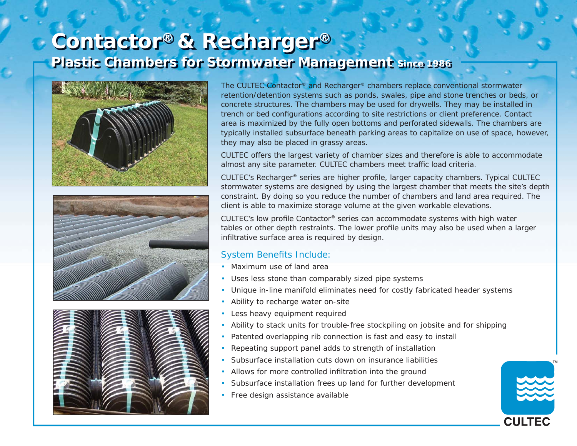## **Contactor® & Recharger® Plastic Chambers for Stormwater Management** *Since 1986*







The CULTEC Contactor® and Recharger® chambers replace conventional stormwater retention/detention systems such as ponds, swales, pipe and stone trenches or beds, or concrete structures. The chambers may be used for drywells. They may be installed in trench or bed configurations according to site restrictions or client preference. Contact area is maximized by the fully open bottoms and perforated sidewalls. The chambers are typically installed subsurface beneath parking areas to capitalize on use of space, however, they may also be placed in grassy areas.

CULTEC offers the largest variety of chamber sizes and therefore is able to accommodate almost any site parameter. CULTEC chambers meet traffic load criteria.

CULTEC's Recharger<sup>®</sup> series are higher profile, larger capacity chambers. Typical CULTEC stormwater systems are designed by using the largest chamber that meets the site's depth constraint. By doing so you reduce the number of chambers and land area required. The client is able to maximize storage volume at the given workable elevations.

CULTEC's low profile Contactor® series can accommodate systems with high water tables or other depth restraints. The lower profile units may also be used when a larger infiltrative surface area is required by design.

## System Benefits Include:

- Maximum use of land area
- Uses less stone than comparably sized pipe systems
- Unique in-line manifold eliminates need for costly fabricated header systems
- Ability to recharge water on-site
- Less heavy equipment required
- Ability to stack units for trouble-free stockpiling on jobsite and for shipping
- Patented overlapping rib connection is fast and easy to install
- Repeating support panel adds to strength of installation
- Subsurface installation cuts down on insurance liabilities
- Allows for more controlled infiltration into the ground
- Subsurface installation frees up land for further development
- Free design assistance available